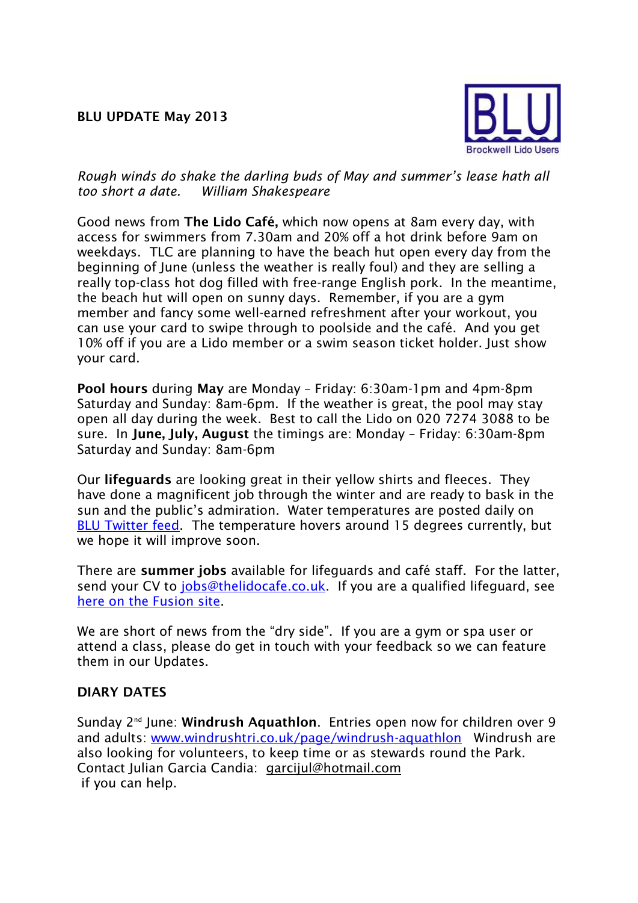## **BLU UPDATE May 2013**



## *Rough winds do shake the darling buds of May and summer's lease hath all too short a date. William Shakespeare*

Good news from **The Lido Café,** which now opens at 8am every day, with access for swimmers from 7.30am and 20% off a hot drink before 9am on weekdays. TLC are planning to have the beach hut open every day from the beginning of June (unless the weather is really foul) and they are selling a really top-class hot dog filled with free-range English pork. In the meantime, the beach hut will open on sunny days. Remember, if you are a gym member and fancy some well-earned refreshment after your workout, you can use your card to swipe through to poolside and the café. And you get 10% off if you are a Lido member or a swim season ticket holder. Just show your card.

**Pool hours** during **May** are Monday – Friday: 6:30am-1pm and 4pm-8pm Saturday and Sunday: 8am-6pm. If the weather is great, the pool may stay open all day during the week. Best to call the Lido on 020 7274 3088 to be sure. In **June, July, August** the timings are: Monday – Friday: 6:30am-8pm Saturday and Sunday: 8am-6pm

Our **lifeguards** are looking great in their yellow shirts and fleeces. They have done a magnificent job through the winter and are ready to bask in the sun and the public's admiration. Water temperatures are posted daily on [BLU Twitter feed.](https://twitter.com/BrockwellLido) The temperature hovers around 15 degrees currently, but we hope it will improve soon.

There are **summer jobs** available for lifeguards and café staff. For the latter, send your CV to [jobs@thelidocafe.co.uk.](mailto:jobs@thelidocafe.co.uk) If you are a qualified lifeguard, see [here on the Fusion site.](http://www.fusion-lifestyle.com/Jobs/Casual_Recreation_Assistants_Lifeguards_Brockwell_Lido_Lambeth)

We are short of news from the "dry side". If you are a gym or spa user or attend a class, please do get in touch with your feedback so we can feature them in our Updates.

## **DIARY DATES**

Sunday 2nd June: **Windrush Aquathlon**. Entries open now for children over 9 and adults: [www.windrushtri.co.uk/page/windrush-aquathlon](http://www.windrushtri.co.uk/page/windrush-aquathlon) Windrush are also looking for volunteers, to keep time or as stewards round the Park. Contact Julian Garcia Candia: [garcijul@hotmail.com](mailto:garcijul@hotmail.com) if you can help.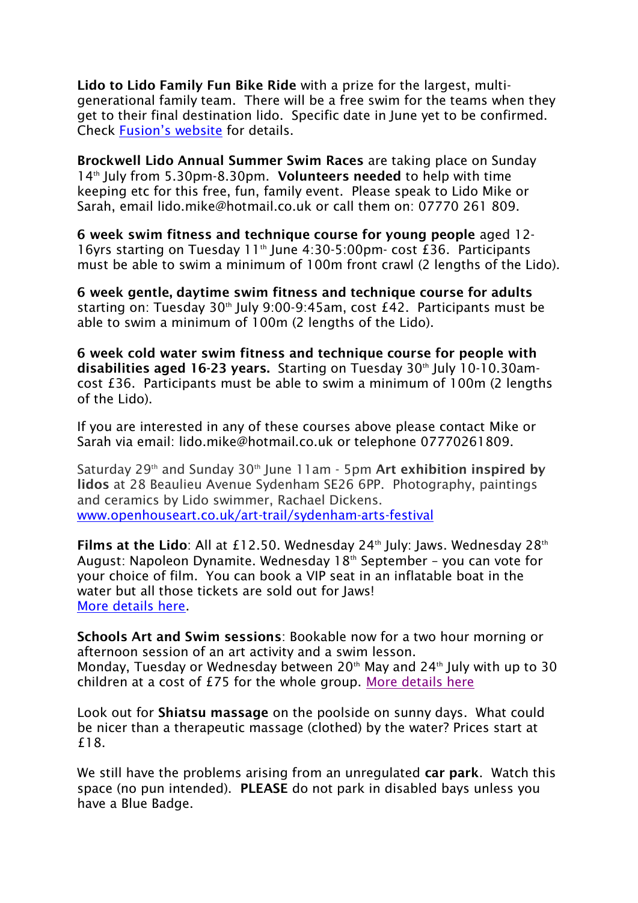**Lido to Lido Family Fun Bike Ride** with a prize for the largest, multigenerational family team. There will be a free swim for the teams when they get to their final destination lido. Specific date in June yet to be confirmed. Check [Fusion's website](http://www.fusionlifestyle.com/centres/Brockwell_Lido) for details.

**Brockwell Lido Annual Summer Swim Races** are taking place on Sunday 14th July from 5.30pm-8.30pm. **Volunteers needed** to help with time keeping etc for this free, fun, family event. Please speak to Lido Mike or Sarah, email lido.mike@hotmail.co.uk or call them on: 07770 261 809.

**6 week swim fitness and technique course for young people** aged 12- 16yrs starting on Tuesday 11<sup>th</sup> June 4:30-5:00pm- cost £36. Participants must be able to swim a minimum of 100m front crawl (2 lengths of the Lido).

**6 week gentle, daytime swim fitness and technique course for adults** starting on: Tuesday  $30<sup>th</sup>$  July 9:00-9:45am, cost £42. Participants must be able to swim a minimum of 100m (2 lengths of the Lido).

**6 week cold water swim fitness and technique course for people with disabilities aged 16-23 years.** Starting on Tuesday 30<sup>th</sup> July 10-10.30amcost £36. Participants must be able to swim a minimum of 100m (2 lengths of the Lido).

If you are interested in any of these courses above please contact Mike or Sarah via email: lido.mike@hotmail.co.uk or telephone 07770261809.

Saturday 29<sup>th</sup> and Sunday 30<sup>th</sup> June 11am - 5pm Art exhibition inspired by **lidos** at 28 Beaulieu Avenue Sydenham SE26 6PP. Photography, paintings and ceramics by Lido swimmer, Rachael Dickens. [www.openhouseart.co.uk/art-trail/sydenham-arts-festival](http://www.openhouseart.co.uk/art-trail/sydenham-arts-festival)

**Films at the Lido**: All at £12.50. Wednesday 24<sup>th</sup> July: Jaws. Wednesday 28<sup>th</sup> August: Napoleon Dynamite. Wednesday  $18<sup>th</sup>$  September – you can vote for your choice of film. You can book a VIP seat in an inflatable boat in the water but all those tickets are sold out for Jaws! [More details here.](http://www.thelunacinema.com/#/brockwell-lido/4563678938)

**Schools Art and Swim sessions**: Bookable now for a two hour morning or afternoon session of an art activity and a swim lesson. Monday, Tuesday or Wednesday between  $20<sup>th</sup>$  May and  $24<sup>th</sup>$  July with up to 30 children at a cost of £75 for the whole group. [More details here](http://www.fusion-lifestyle.com/centres/Brockwell_Lido/news/001_Brockwell_Lido_School_s_Programme_Launched)

Look out for **Shiatsu massage** on the poolside on sunny days. What could be nicer than a therapeutic massage (clothed) by the water? Prices start at £18.

We still have the problems arising from an unregulated **car park**. Watch this space (no pun intended). **PLEASE** do not park in disabled bays unless you have a Blue Badge.